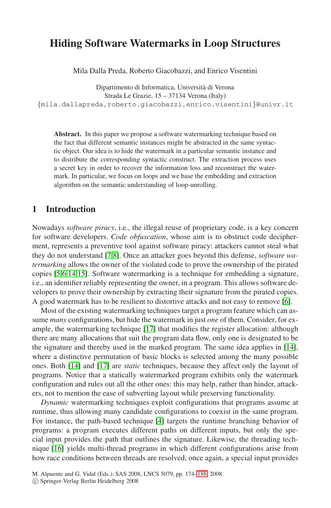# **Hiding Software Watermarks in Loop Structures**

Mila Dalla Preda, Roberto Giacobazzi, and Enrico Visentini

Dipartimento di Informatica, Università di Verona Strada Le Grazie, 15 – 37134 Verona (Italy) {mila.dallapreda,roberto.giacobazzi,enrico.visentini}@univr.it

**Abstract.** In this paper we propose a software watermarking technique based on the fact that different semantic instances might be abstracted in the same syntactic object. Our idea is to hide the watermark in a particular semantic instance and to distribute the corresponding syntactic construct. The extraction process uses a secret key in order to recover the information loss and reconstruct the watermark. In particular, we focus on loops and we base the embedding and extraction [a](#page-14-0)lgorithm on the semantic understanding of loop-unrolling.

## **1 Introduction**

Nowadays *software piracy*, i.e., the illegal reuse of propriet[ary](#page-14-1) code, is a key concern for software developers. *Code obfuscation*, whose aim is to obstruct code decipherment, represents a preventive tool against software piracy: attackers cannot steal what they do not und[erst](#page-14-2)and [7,8]. Once an attacker goes beyond this defense, *software watermarking* allows the owner of the violated code to prove the ownership of the pirated copies [5,6,14,15]. Software watermarking is a technique fo[r em](#page-14-3)bedding a signature, i.e., an identifier reliably representing the owner, in a program. This allows software de[velo](#page-14-2)pers to prove their ownership by extracting their signature from the pirated copies. A good watermark has to be resilient to distortive attacks and not easy to remove [6].

Most of the existing watermarking techniques target a program feature which can assume *many* configurations, but hide the watermark in just *one* of them. Consider, for example, the watermarking technique [17] that modifies the register allocation: although there are many allocations that suit the program data flow, only one is designated to be the signature and th[er](#page-14-4)eby used in the marked program. The same idea applies in [14], where a distinctive permutation of basic blocks is selected among the many possible ones. Both [14] and [17] are *static* techniques, because they affect only the layout of programs. Notice that a statically watermarked program exhibits only the watermark configuration and rules out all the other ones: this may help, rather than hinder, attackers, not to mention the ease of subverting layout while preserving functionality.

*Dynamic* watermarking techn[ique](#page-14-5)s exploit configurations that programs assume at runtime, thus allowing many candidate configurations to coexist in the same program. For instance, the path-based technique [4] targets the runtime branching behavior of programs: a program executes different paths on different inputs, but only the special input provides the path that outlines the signature. Likewise, the threading technique [16] yields multi-thread programs in which different configurations arise from how race conditions between threads are resolved; once again, a special input provides

M. Alpuente and G. Vidal (Eds.): SAS 2008, LNCS 5079, pp. 174–188, 2008.

<sup>-</sup>c Springer-Verlag Berlin Heidelberg 2008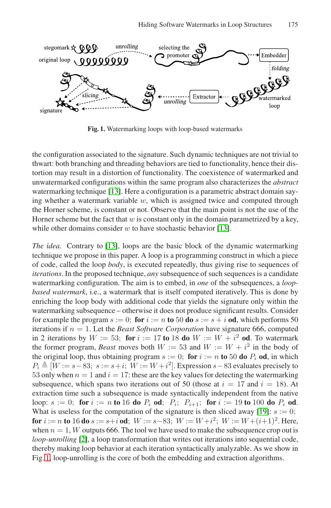<span id="page-1-0"></span>

**Fig. 1.** Watermarking loops with loop-based watermarks

the configuration associated to the signa[ture](#page-14-6). Such dynamic techniques are not trivial to thwart: both branching and threading behaviors are tied to functionality, hence their distort[ion](#page-14-6) may result in a distortion of functionality. The coexistence of watermarked and unwatermarked configurations within the same program also characterizes the *abstract* watermarking technique [13]. Here a configuration is a parametric abstract domain saying whether a watermark variable  $w$ , which is assigned twice and computed through the Horner scheme, is constant or not. Observe that the main point is not the use of the Horner scheme but the fact that  $w$  is constant only in the domain parametrized by a key, while other domains consider  $w$  to have stochastic behavior [13].

*The idea.* Contrary to [13], loops are the basic block of the dynamic watermarking technique we propose in this paper. A loop is a programming construct in which a piece of code, called the loop *body*, is executed repeatedly, thus giving rise to sequences of *iterations*. In the proposed technique, *any* subsequence of such sequences is a candidate watermarking configuration. The aim is to embed, in *one* of the subsequences, a *loopbased watermark*, i.e., a watermark that is itself computed iteratively. This is done by enriching the loop body with additional code that yields the signature only within the watermarking subsequence – otherwise it does not produce significant results. Consider for example the program  $s := 0$ ; for  $i := n$  to 50 do  $s := s + i$  od, which performs 50 iterations if  $n = 1$ . Let the *Beast Software Corporation* have signature 666, computed in 2 iterations by  $W := 53$  $W := 53$ ; for  $i := 17$  to 18 do  $W := W + i^2$  od. To watermark the former program, *Beast* moves both  $W := 53$  and  $W := W + i^2$  in the body of the original loop, thus obtaining program  $s := 0$ ; for  $i := n$  to 50 do  $P_i$  od, in which  $P_i \triangleq [W := s - 83; s := s + i; W := W + i^2]$ . Expression  $s - 83$  evaluates precisely to 53 only when  $n = 1$  and  $i = 17$ : these are the key values for detecting the watermarking subsequence, which spans two iterations out of 50 (those at  $i = 17$  and  $i = 18$ ). At extraction time such a subsequence is made syntactically independent from the native loop:  $s := 0$ ; for  $i := n$  to 16 do  $P_i$  od;  $P_i$ ;  $P_{i+1}$ ; for  $i := 19$  to 100 do  $P_i$  od. What is useless for the computation of the signature is then sliced away [19]:  $s := 0$ ; **for**  $i := n$  **to** 16 **do**  $s := s + i$  **od**;  $W := s - 83$ ;  $W := W + i^2$ ;  $W := W + (i+1)^2$ . Here, when  $n = 1$ , W outputs 666. The tool we have used to make the subsequence crop out is *loop-unrolling* [2], a loop transformation that writes out iterations into sequential code, thereby making loop behavior at each iteration syntactically analyzable. As we show in Fig. 1, loop-unrolling is the core of both the embedding and extraction algorithms.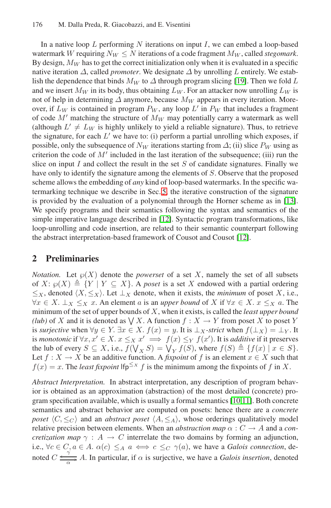In a native loop  $L$  performing  $N$  iterations on input  $I$ , we can embed a loop-based watermark W requiring  $N_W \leq N$  iterations of a code fragment  $M_W$ , called *stegomark*. By design,  $M_W$  has to get the correct initialization only when it is evaluated in a specific native iteration  $\Delta$ , called *promoter*. We designate  $\Delta$  by unrolling L entirely. We establish the dependence that binds  $M_W$  to  $\Delta$  through program slicing [19]. Then we fold L and we insert  $M_W$  in its body, thus obtaining  $L_W$ . For an attacker now unrolling  $L_W$  is not of help in determining  $\Delta$  anymore, because  $M_W$  appears in every iteration. Moreover, if  $L_W$  is contained in program  $P_W$ , any loop  $L'$  in  $P_W$  that includes a fragment of code  $M'$  matchin[g th](#page-10-0)e structure of  $M_W$  may potentially carry a watermark as well (although  $L' \neq L_W$  is highly unlikely to yield a reliable sig[natu](#page-14-6)re). Thus, to retrieve the signature, for each  $L'$  we have to: (i) perform a partial unrolling which exposes, if possible, only the su[bseq](#page-14-8)uence of  $N_W$  iterations starting from  $\Delta$ ; (ii) slice  $P_W$  using as criterion the code of  $M'$  included in the last iteration of the subsequence; (iii) run the slice on input  $I$  and collect the result in the s[et](#page-14-8)  $S$  of candidate signatures. Finally we have only to identify the signature among the elements of S. Observe that the proposed scheme allows the embedding of *any* kind of loop-based watermarks. In the specific watermarking technique we describe in Sec. 5, the iterative construction of the signature is provided by the evaluation of a polynomial through the Horner scheme as in [13]. We specify programs and their semantics following the syntax and semantics of the simple imperative language described in [12]. Syntactic program transformations, like loop-unrolling and code insertion, are related to their semantic counterpart following the abstract interpretation-based framework of Cousot and Cousot [12].

## **2 Preliminaries**

*Notation.* Let  $\wp(X)$  denote the *powerset* of a set X, namely the set of all subsets of  $X: \varphi(X) \triangleq \{Y \mid Y \subseteq X\}$ . A *poset* is a set X endowed with a partial ordering  $\leq_X$ , denoted  $\langle X, \leq_X \rangle$ . Let  $\perp_X$  denote, when it exists, the *minimum* of poset X, i.e.,  $\forall x \in X$ .  $\perp_X \leq_X x$ . An element a is an *upper bound* of X if  $\forall x \in X$ .  $x \leq_X a$ . The minimum of the set of upper bounds of X, when it exists, is called the *least upper bound (lub)* of X and it is denoted as  $\bigvee X$ . A function  $f : X \to Y$  from poset X to poset Y is *surjective* when  $\forall y \in Y$  $\forall y \in Y$  $\forall y \in Y$ .  $\exists x \in X$ .  $f(x) = y$ [. It i](#page-14-10)s  $\bot_X$ -strict when  $f(\bot_X) = \bot_Y$ . It is monotonic if  $\forall x, x' \in X$ .  $x \leq_X x' \implies f(x) \leq_Y f(x')$ . It is additive if it preserves the lub of every  $S \subseteq X$ , i.e.,  $f(\bigvee_X S) = \bigvee_Y f(S)$ , where  $f(S) \triangleq \{f(x) \mid x \in S\}$ . Let  $f: X \to X$  be an additive function. A *fixpoint* of f is an element  $x \in X$  such that  $f(x) = x$ . The *least fixpoint*  $If p^{\leq x} f$  is the minimum among the fixpoints of f in X.

*Abstract Interpretation.* In abstract interpretation, any description of program behavior is obtained as an approximation (abstraction) of the most detailed (concrete) program specification available, which is usually a formal semantics [10,11]. Both concrete semantics and abstract behavior are computed on posets: hence there are a *concrete poset*  $\langle C, \leq_C \rangle$  and an *abstract poset*  $\langle A, \leq_A \rangle$ , whose orderings qualitatively model relative precision between elements. When an *abstraction map*  $\alpha$  :  $C \rightarrow A$  and a *concretization map*  $\gamma$  :  $A \rightarrow C$  interrelate the two domains by forming an adjunction, i.e.,  $\forall c \in C, a \in A$ .  $\alpha(c) \leq_A a \iff c \leq_C \gamma(a)$ , we have a *Galois connection*, denoted  $C \xrightarrow{\gamma} A$ . In particular, if  $\alpha$  is surjective, we have a *Galois insertion*, denoted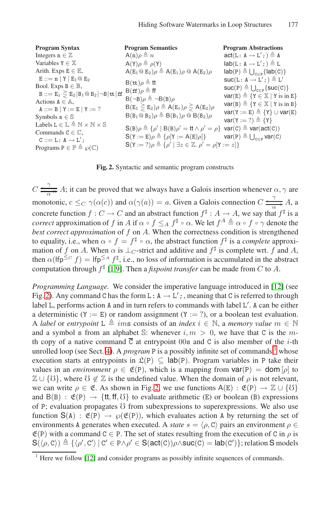<span id="page-3-0"></span>

| <b>Program Syntax</b>                                                               | <b>Program Semantics</b>                                                                                                | <b>Program Abstractions</b>                                      |
|-------------------------------------------------------------------------------------|-------------------------------------------------------------------------------------------------------------------------|------------------------------------------------------------------|
| Integers $n \in \mathbb{Z}$                                                         | $A(n)\rho \triangleq n$                                                                                                 | $\text{act}(L: A \rightarrow L'; ) \triangleq A$                 |
| Variables $Y \in \mathbb{X}$                                                        | $A(Y)\rho \triangleq \rho(Y)$                                                                                           | $lab(L: A \rightarrow L'; ) \triangleq L$                        |
| Arith. Exps $E \in \mathbb{E}$ ,                                                    |                                                                                                                         | $lab(P) \triangleq \bigcup_{C \in P} \{ lab(C) \}$               |
| $E ::= n   Y   E_1 @ E_2$                                                           | $B(\mathbf{t}t)\rho \triangleq \mathbf{t}t$                                                                             | $succ(L: A \rightarrow L'; ) \triangleq L'$                      |
| Bool. Exps $B \in \mathbb{B}$ ,                                                     | $B({\bf ff})\rho \triangleq ff$                                                                                         | $succ(P) \triangleq \bigcup_{C \in P} \{succ(C) \}$              |
| $B ::= E_1 \geq E_2   B_1 @ B_2   \neg B   \mathbf{tt}   \mathbf{ff}$               | $B(\neg B)\rho \triangleq \neg B(B)\rho$                                                                                | $var(E) \triangleq {Y \in \mathbb{X} \mid Y \text{ is in } E}$   |
| Actions $A \in \mathbb{A}$ .                                                        |                                                                                                                         | $var(B) \triangleq \{Y \in \mathbb{X} \mid Y \text{ is in } B\}$ |
| $A ::= B   Y := E   Y := ?$                                                         | $B(E_1 \geq E_2) \rho \triangleq A(E_1) \rho \geq A(E_2) \rho$                                                          | $var(Y := E) \triangleq {Y} \cup var(E)$                         |
| Symbols $s \in \mathbb{S}$                                                          |                                                                                                                         | $var(Y := ?) \triangleq {Y}$                                     |
| Labels $L \in \mathbb{L} \triangleq \mathbb{N} \times \mathbb{N} \times \mathbb{S}$ | $S(B)\rho \triangleq {\rho'   B(B)\rho' = \text{tt} \wedge \rho' = \rho}$ var(c) $\triangleq \text{var}(\text{act}(C))$ |                                                                  |
| Commands $C \in \mathbb{C}$ ,                                                       |                                                                                                                         |                                                                  |
| $C ::= L : A \rightarrow L';$                                                       | $S(Y := E)\rho \triangleq {\rho[Y := A(E)\rho]}$                                                                        | $var(P) \triangleq \bigcup_{C \in P} var(C)$                     |
| Programs $P \in \mathbb{P} \triangleq \wp(\mathbb{C})$                              | $\mathsf{S}(\mathsf{Y}:=?)\rho \triangleq {\rho'   \exists z \in \mathbb{Z}.\ \rho' = \rho[\mathsf{Y}:=z]}$             |                                                                  |

**Fig. 2.** Syntactic and semantic program constructs

 $C \xrightarrow[\alpha]{\gamma}$  $\frac{1}{\alpha}$  A; it can be proved that we always have a Galois insertion whenever  $\alpha$ ,  $\gamma$  are mo[not](#page-14-11)[on](#page-14-12)ic,  $c \leq_C \gamma(\alpha(c))$  and  $\alpha(\gamma(a)) = a$ . Given a Galois connection  $C \xrightarrow[\alpha]{\gamma} A$ , a concrete function  $f: C \to C$  and an abstract function  $f^{\sharp}: A \to A$  $f^{\sharp}: A \to A$  $f^{\sharp}: A \to A$ , we say that  $f^{\sharp}$  is a *correct* approximation of f in A if  $\alpha \circ f \leq_A f^{\sharp} \circ \alpha$ . We let  $f^A \triangleq \alpha \circ f \circ \gamma$  denote the *best correct approximation* of f on A. When the correctness condition is strengthened to equality, i.e., when  $\alpha \circ f = f^{\sharp} \circ \alpha$ , the abstract function  $f^{\sharp}$  is a *complete* approximation of f on A. When  $\alpha$  is  $\perp_C$ -strict and additive and  $f^{\sharp}$  is complete wrt. f and A, then  $\alpha(\text{Ifp}^{\leq C} f) = \text{Ifp}^{\leq A} f^\sharp$ , i.e., no loss of information is accumulated in the abstract computation through  $f^{\sharp}$  [1,9]. Then a *fixpoint transfer* can be made from C to A.

*Pr[ogr](#page-7-0)amming Language.* We consider the imperative language introduced in [12] (see Fig. 2). Any command C has the form  $L : A \rightarrow L'$ ; meaning that C is referred to through label L, performs action A and in turn refers to commands with label L'. A can be either a deterministic (Y [:=](#page-3-0) E) or random assignment (Y := ?), or a boolean test evaluation. A *label* or *entrypoint*  $L \triangleq ims$  consists of an *index*  $i \in \mathbb{N}$ , a *memory value*  $m \in \mathbb{N}$ and a symbol s from an alphabet S: whenever  $i, m > 0$ , we have that C is the mth copy of a native command  $\overline{C}$  at entrypoint 00s and C is also member of the *i*-th unrolled loop (see Sect. 4). A *program* P is a possibly infinite set of commands <sup>1</sup> whose execution starts at entrypoints in  $\mathfrak{L}(P) \subseteq \text{lab}(P)$ . Program variables in P take their values in an *environment*  $\rho \in \mathfrak{E}(P)$ , which is a mapping from  $var(P) = dom[\rho]$  to  $\mathbb{Z} \cup \{0\}$ , where  $\mathcal{O} \notin \mathbb{Z}$  is the undefined value. When the domain of  $\rho$  is not relevant, we can write  $\rho \in \mathfrak{E}$ . As shown in Fig. 2, we use functions  $A(E) : \mathfrak{E}(P) \to \mathbb{Z} \cup \{0\}$ and  $B(B)$ :  $\mathfrak{E}(P) \rightarrow \{ \mathfrak{t}, \mathfrak{f}, \mathfrak{t}, \mathfrak{t} \}$  to evaluate arithmetic (E) or boolean (B) expressions of P; evaluation propagates U from subexpressions to superexpressions. We also use function  $S(A)$ :  $\mathfrak{E}(P) \rightarrow \varphi(\mathfrak{E}(P))$ , which evaluates action A by returning the set of environments A generates when executed. A *state*  $s = \langle \rho, C \rangle$  pairs an environment  $\rho \in$  $\mathfrak{E}(P)$  with a command  $C \in P$ . The set of states resulting from the execution of C in  $\rho$  is  $\mathsf{S}(\langle \rho, \mathsf{C} \rangle) \triangleq \{ \langle \rho', \mathsf{C}' \rangle \ | \ \mathsf{C}' \in \mathsf{P} \wedge \rho' \in \mathsf{S}(\mathsf{act}(\mathsf{C})) \rho \wedge \mathsf{suc}(\mathsf{C}) = \mathsf{lab}(\mathsf{C}') \};$  relation  $\mathsf{S}$  models

 $1$  Here we follow [12] and consider programs as possibly infinite sequences of commands.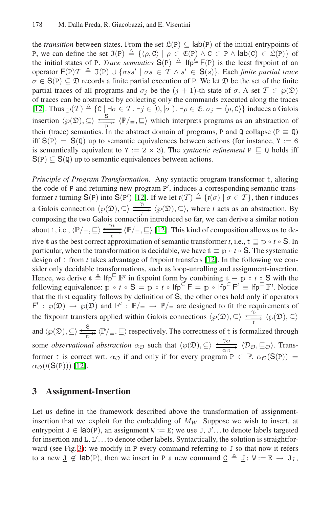the *transition* between states. From the set  $\mathfrak{L}(P) \subseteq lab(P)$  of the initial entrypoints of P, we can define the set  $\mathfrak{I}(P) \triangleq \{ \langle \rho, C \rangle \mid \rho \in \mathfrak{E}(P) \land C \in P \land \mathsf{lab}(C) \in \mathfrak{L}(P) \}$  of the initial states of P. *Trace semantics*  $S(P) \triangleq$  If  $p \in F(P)$  is the least fixpoint of an operator  $\mathsf{F}(P)\mathcal{T} \triangleq \mathfrak{I}(P) \cup \{\sigma ss' \mid \sigma s \in \mathcal{T} \wedge s' \in \mathsf{S}(s)\}.$  Each *finite partial trace*  $\sigma \in S(P) \subseteq \mathfrak{D}$  records a finite partial execution of P. We let  $\mathfrak{D}$  be the set of the finite partial traces of all programs and  $\sigma_j$  be the  $(j + 1)$ -th state of  $\sigma$ . A set  $\mathcal{T} \in \wp(\mathfrak{D})$ of traces can be abstracted by collecting only the commands executed along the traces [12]. Thus  $p(\mathcal{T}) \triangleq \{C \mid \exists \sigma \in \mathcal{T}.\ \exists j \in [0, |\sigma|) . \exists \rho \in \mathfrak{E}.\ \sigma_j = \langle \rho, C \rangle \}$  induces a Galois insertion  $\langle \wp(\mathfrak{D}), \subseteq \rangle \xrightarrow[\mathfrak{D}]{} \langle \mathbb{P}/\equiv, \subseteq \rangle$  which interprets programs as an abstraction of their (trace) [sem](#page-14-8)antics. In the abstract domain of programs, P and Q collapse ( $P \equiv Q$ ) iff  $S(P) = S(Q)$  up to semantic equivalences between actions (for instance,  $Y := 6$ is semantically equivalent to Y := 2  $\times$  3). The *syntactic refinement* P  $\subseteq$  Q holds iff  $S(P) \subseteq S(Q)$  up to [sem](#page-14-8)antic equivalences between actions.

Principle of Program Transformation. Any syntactic program transformer t, altering the code of  $P$  and returning new pr[ogra](#page-14-8)m  $P'$ , induces a corresponding semantic transformer *t* turning  $S(P)$  into  $S(P')$  [12]. If we let  $t(T) \triangleq \{t(\sigma) \mid \sigma \in T\}$ , then *t* induces a Galois connection  $\langle \wp(\mathfrak{D}), \subseteq \rangle \xrightarrow[t \to \infty]{\gamma_t} \langle \wp(\mathfrak{D}), \subseteq \rangle$ , where *t* acts as an abstraction. By composing the two Galois connection introduced so far, we can derive a similar notion about t, i.e.,  $\langle \mathbb{P}/\equiv, \sqsubseteq \rangle \xrightarrow[t]{\text{#}} \langle \mathbb{P}/\equiv$  $\frac{\gamma_{\text{t}}}{\gamma_{\text{t}}}$   $\langle \mathbb{P}/\mathbb{E}, \mathbb{E} \rangle$  [12]. This kind of composition allows us to derive t as the best correct approximation of semantic transformer *t*, i.e.,  $t \sqsupseteq p \circ t \circ S$ . In particular, when the transformation is decidable, we have  $t \equiv p \circ t \circ S$ . The systematic design of t from *t* takes advantage of fixpoint transfers [12]. In the following we consider only decidable transformations, such as loop-unrolling and assignment-insertion. Hence, we derive  $t \triangleq$  Ifp  $F$  in fixpoint form by combining  $t \equiv p \circ t \circ S$  with the following equivalence:  $p \circ t \circ S = p \circ t \circ \text{If} p^{\subseteq} F = p \circ \text{If} p^{\subseteq} F' \equiv \text{If} p^{\subseteq} F'$ . Notice that the first equality follows by definition of S; the other ones hold only if operators  $F' : \wp(\mathfrak{D}) \to \wp(\mathfrak{D})$  and  $\mathbb{F}' : \mathbb{P}/_{\equiv} \to \mathbb{P}/_{\equiv}$  are designed to fit the requirements of the fixpoint transfers applied within Galois connections  $\langle \wp(\mathfrak{D}), \subseteq \rangle \xrightarrow[t]{\gamma_i} \langle \wp(\mathfrak{D}), \subseteq \rangle$ and  $\langle \wp(\mathfrak{D}), \subseteq \rangle \xrightarrow[\mathfrak{D}]{} \langle \mathbb{P}/\equiv, \sqsubseteq \rangle$  respectively. The correctness of t is formalized through some *observational abstraction*  $\alpha_{\mathcal{O}}$  such that  $\langle \varphi(\mathfrak{D}), \subseteq \rangle$   $\frac{\longleftrightarrow}{\alpha_{\mathcal{O}}}$  $\frac{\gamma_{\mathcal{O}}}{\alpha_{\mathcal{O}}}$   $\langle \mathcal{D}_{\mathcal{O}}, \sqsubseteq_{\mathcal{O}} \rangle$ . Transformer t is correct wrt.  $\alpha_{\mathcal{O}}$  if and only if for every program  $P \in \mathbb{P}$ ,  $\alpha_{\mathcal{O}}(S(P)) =$  $\alpha_{\mathcal{O}}(t(S(P)))$  [12].

## **3 Assignment-Insertion**

Let us define in the framework described above the transformation of assignmentinsertion that we exploit for the embedding of  $M_W$ . Suppose we wish to insert, at entrypoint  $J \in \text{lab}(P)$ , an assignment  $W := E$ ; we use J, J'...to denote labels targeted for insertion and  $L, L'...$  to denote other labels. Syntactically, the solution is straightforward (see Fig. 3): we modify in P every command referring to J so that now it refers to a new  $\underline{J} \notin \text{lab}(P)$ , then we insert in P a new command  $\underline{C} \triangleq \underline{J}$ :  $\mathbb{W} := \underline{E} \to J$ ;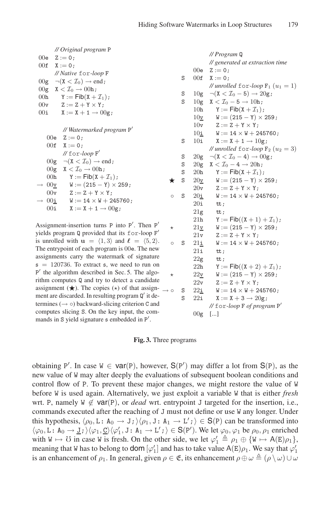| // Original program P                                          |
|----------------------------------------------------------------|
| 00e $Z := 0;$                                                  |
| $00f \quad X := 0;$                                            |
| // Native for-loop F                                           |
| $00g \quad \neg(X \leq \mathcal{I}_0) \rightarrow \text{end};$ |
| 00g $X < I_0 \rightarrow 00h$ ;                                |
| $Y := Fib(X + \mathcal{I}_1);$<br>00 <sub>h</sub>              |
| $00v \t Z := Z + Y \times Y;$                                  |
| 00i $X := X + 1 \rightarrow 00g;$                              |
|                                                                |
| // Watermarked program P'                                      |
| 00e $Z := 0;$                                                  |
| $00f \quad X := 0;$                                            |
| // for-loop $F'$                                               |
| $00g \quad \neg(X \leq \mathcal{I}_0) \rightarrow \text{end};$ |
| 00g $X < I_0 \rightarrow 00h$ ;                                |
| $Y := Fib(X + \mathcal{I}_1);$<br>00 <sub>h</sub>              |
| $\rightarrow 00v \qquad W := (215 - Y) \times 259;$            |
| $00v \t Z := Z + Y \times Y;$                                  |
| $\rightarrow 00i \qquad W := 14 \times W + 245760$ ;           |
| 00i $X := X + 1 \rightarrow 00g;$                              |
|                                                                |

Assignment-insertion turns  $P$  into  $P'$ . Then  $P'$ yields program Q provided that its for-loop F' is unrolled with  $\mathbf{u} = \langle 1, 3 \rangle$  and  $\mathbf{\ell} = \langle 5, 2 \rangle$ . The entrypoint of each program is 00e. The new assignments carry the watermark of signature  $s = 120736$ . To extract s, we need to run on  $P'$  the algorithm described in Sec. 5. The algorithm computes Q and try to detect a candidate assignment ( $\star$ ). The copies ( $\star$ ) of that assignment are discarded. In resulting program  $\mathbb{Q}'$  it determines ( $\rightarrow \circ$ ) backward-slicing criterion C and computes slicing S. On the key input, the commands in S yield signature s embedded in P'.

```
// Program Q
               // generated at extraction time
         00e Z := 0;S = 00f X := 0;// unrolled \text{for-loop } F_1 (u_1 = 1)S 10g \quad \neg(X \leq \mathcal{I}_0 - 5) \rightarrow 20g;S 10g \quad X < \mathcal{I}_0 - 5 \rightarrow 10h;
         10h Y := Fib(X + \mathcal{I}_1);10v \t W := (215 - Y) \times 259;10v \t Z := Z + Y \times Y;10i W := 14 \times W + 245760;S 10i X := X + 1 \rightarrow 10g;// unrolled for-loop F_2 (u_2 = 3)
    S 20g \quad \neg(X \leq \mathcal{I}_0 - 4) \rightarrow 00g;S 20g \quad X < \mathcal{I}_0 - 4 \rightarrow 20h;
    S 20h Y := Fib(X + \mathcal{I}_1);S 20v W := (215 - Y) \times 259;
         20v \t Z := Z + Y \times Y;◦ S 20i W := 14 × W + 245760;
         20i tt;
         21g tt;
         21h Y := Fib((X + 1) + \mathcal{I}_1);21y \tW := (215 - Y) \times 259;21v \t Z := Z + Y \times Y;◦ S 21i W := 14 × W + 245760;
         21i tt;
         22g tt;
         22h Y := Fib((X + 2) + \mathcal{I}_1);\times 22<u>v</u> W := (215 - Y) × 259;
         22v \quad Z := Z + Y \times Y;S 22i W := 14 \times W + 245760;S 22i X := X + 3 \rightarrow 20g;// for-loop F of program P-

         00g [...]
```
<span id="page-5-0"></span>**Fig. 3.** Three programs

obtaining P'. In case  $W \in \text{var}(P)$ , however,  $S(P')$  may differ a lot from  $S(P)$ , as the new value of W may alter deeply the evaluations of subsequent boolean conditions and control flow of P. To prevent these major changes, we might restore the value of W before W is used again. Alternatively, we just exploit a variable W that is either *fresh* wrt. P, namely  $W \notin \text{var}(P)$ , or *dead* wrt. entrypoint J targeted for the insertion, i.e., commands executed after the reaching of J must not define or use W any longer. Under this hypothesis,  $\langle \rho_0, L : A_0 \to J \rangle$ ;  $\langle \rho_1, J : A_1 \to L' \rangle$   $\in S(P)$  can be transformed into  $\langle \varphi_0, L \colon A_0 \to \underline{\mathsf{J}} \rangle$ ;  $\langle \varphi_1, \underline{\mathsf{C}} \rangle$   $\langle \varphi_1', \mathsf{J} \colon A_1 \to \mathsf{L}' \rangle \in \mathsf{S}(\mathsf{P}')$ . We let  $\varphi_0, \varphi_1$  be  $\rho_0, \rho_1$  enriched with  $W \mapsto U$  in case W is fresh. On the other side, we let  $\varphi'_1 \triangleq \rho_1 \oplus \{W \mapsto A(E)\rho_1\}$ , meaning that W has to belong to  ${\sf dom}\,[\varphi_1']$  and has to take value  ${\sf A}({\sf E})\rho_1.$  We say that  $\varphi_1'$ is an enhancement of  $\rho_1$ . In general, given  $\rho \in \mathfrak{E}$ , its enhancement  $\rho \oplus \omega \triangleq (\rho \setminus \omega) \cup \omega$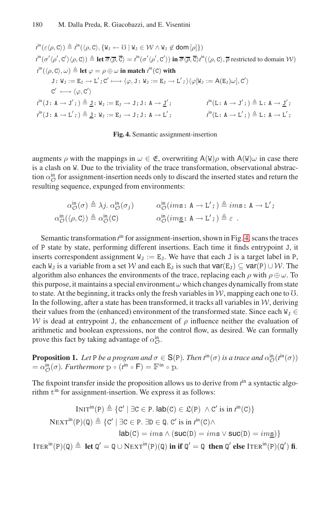<span id="page-6-0"></span>
$$
\begin{aligned}\n&\dot{r}^{\text{in}}(\varepsilon\langle\rho,C\rangle)\triangleq\dot{r}^{\text{in}}(\langle\rho,C\rangle,\{\mathtt{W}_{\mathtt{J}}\leftarrow\mathtt{U}\}\left|\:\mathtt{W}_{\mathtt{J}}\in\mathcal{W}\wedge\mathtt{W}_{\mathtt{J}}\not\in\mathtt{dom}\left[\rho\right]\right\})\\
&\dot{r}^{\text{in}}(\sigma'\langle\rho',C'\rangle\langle\rho,C\rangle)\triangleq\text{let}\,\overline{\sigma}\langle\overline{\rho},\overline{C}\rangle=\dot{r}^{\text{in}}(\sigma'\langle\rho',C'\rangle)\text{ in }\overline{\sigma}\langle\overline{\rho},\overline{C}\rangle\dot{r}^{\text{in}}(\langle\rho,C\rangle,\overline{\rho}\text{ restricted to domain }\mathcal{W})\\
&\dot{r}^{\text{in}}(\langle\rho,C\rangle,\omega)\triangleq\text{let }\varphi=\rho\oplus\omega\text{ in match }\dot{r}^{\text{in}}(C)\text{ with}\\
&\text{J}: \mathtt{W}_{\mathtt{J}}:=\mathtt{E}_{\mathtt{J}}\rightarrow\mathtt{L}';\mathtt{C}'\longmapsto\langle\varphi,\mathtt{J}\colon\mathtt{W}_{\mathtt{J}}:=\mathtt{E}_{\mathtt{J}}\rightarrow\mathtt{L}';\rangle\langle\varphi[\mathtt{W}_{\mathtt{J}}:=\mathsf{A}(\mathtt{E}_{\mathtt{J}})\omega],\mathtt{C}'\rangle\\
&\text{C}'\longmapsto\langle\varphi,C'\rangle\\
&\dot{r}^{\text{in}}(\mathtt{J}\colon\mathtt{A}\rightarrow\mathtt{J}';\mathtt{J}\triangleq\underline{\mathtt{J}}\colon\mathtt{W}_{\mathtt{J}}:=\mathtt{E}_{\mathtt{J}}\rightarrow\mathtt{J};\mathtt{J}\colon\mathtt{A}\rightarrow\underline{\mathtt{J}}';\\
&\dot{r}^{\text{in}}(\mathtt{L}\colon\mathtt{A}\rightarrow\mathtt{J}';\mathtt{J}\triangleq\mathtt{L}\colon\mathtt{A}\rightarrow\mathtt{L}';\\
&\dot{r}^{\text{in}}(\mathtt{L}\colon\mathtt{A}\rightarrow\mathtt{L}';\mathtt{J}\triangleq\mathtt{L}\colon\mathtt{W}_{\mathtt{J}}:=\mathtt{B}_{\mathtt{J}}\rightarrow\mathtt{J};\mathtt{J}\
$$

**Fig. 4.** Semantic assignment-insertion

augments  $\rho$  with the mappings in  $\omega \in \mathfrak{E}$ , overwriting  $A(W)\rho$  with  $A(W)\omega$  in case there is a clash on W. Due to the triviality of the trace [tr](#page-6-0)ansformation, observational abstraction  $\alpha_{\mathcal{O}}^{\text{in}}$  for assignment-insertion needs only to discard the inserted states and return the resulting sequence, expunged from environments:

$$
\alpha^{\text{in}}_{\mathcal{O}}(\sigma) \triangleq \lambda j. \ \alpha^{\text{in}}_{\mathcal{O}}(\sigma_j) \qquad \qquad \alpha^{\text{in}}_{\mathcal{O}}(im\mathbf{s}: \mathbf{A} \to \mathbf{L}'; \mathbf{A} \to \mathbf{L}';\n\alpha^{\text{in}}_{\mathcal{O}}(\langle \rho, \mathbf{C} \rangle) \triangleq \alpha^{\text{in}}_{\mathcal{O}}(\mathbf{C}) \qquad \qquad \alpha^{\text{in}}_{\mathcal{O}}(im\mathbf{s}: \mathbf{A} \to \mathbf{L}'; \mathbf{A} \to \mathbf{L}'; \mathbf{A} \to \mathbf{L}';\n\qquadmath>
$$

Semantic transformation  $t<sup>in</sup>$  for assignment-insertion, shown in Fig. 4, scans the traces of P state by state, performing different insertions. Each time it finds entrypoint J, it inserts correspondent assignment  $W_J := E_J$ . We have that each J is a target label in P, each W<sub>J</sub> is a variable from a set W and each E<sub>J</sub> is such that  $var(E_J) \subseteq var(P) \cup W$ . The algorithm also enhances the environments of the trace, replacing each  $\rho$  with  $\rho \oplus \omega$ . To this purpose, it maintains a special environment $\omega$  which changes dynamically from state to state. At the beginning, it tracks only the fresh variables in  $W$ , mapping each one to  $\delta$ . In the following, after a state has been transformed, it tracks all variables in  $W$ , deriving their values from the (enhanced) environment of the transformed state. Since each  $W_J \in$ W is dead at entrypoint J, the enhancement of  $\rho$  influence neither the evaluation of arithmetic and boolean expressions, nor the control flow, as desired. We can formally prove this fact by taking advantage of  $\alpha_{\mathcal{O}}^{\text{in}}$ .

**Proposition 1.** *Let* P *be a program and*  $\sigma \in S(P)$ *. Then*  $t^{\text{in}}(\sigma)$  *is a trace and*  $\alpha_{\mathcal{O}}^{\text{in}}(t^{\text{in}}(\sigma))$  $= \alpha_{\mathcal{O}}^{\text{in}}(\sigma)$ *. Furthermore*  $p \circ (t^{\text{in}} \circ \mathsf{F}) = \mathbb{F}^{\text{in}} \circ p$ *.* 

The fixpoint transfer inside the proposition allows us to derive from  $t<sup>in</sup>$  a syntactic algorithm  $t^{\text{in}}$  for assignment-insertion. We express it as follows:

$$
INT^{in}(P) \triangleq \{C' \mid \exists C \in P. \text{ lab}(C) \in \mathfrak{L}(P) \land C' \text{ is in } t^{in}(C)\}
$$
\n
$$
N \to T^{in}(P)(Q) \triangleq \{C' \mid \exists C \in P. \exists D \in Q. C' \text{ is in } t^{in}(C) \land
$$
\n
$$
lab(C) = ims \land (suc(D) = ims \lor suc(D) = ims)
$$
\n
$$
ITER^{in}(P)(Q) \triangleq let Q' = Q \cup NEXT^{in}(P)(Q) \text{ in if } Q' = Q \text{ then } Q' \text{ else }ITER^{in}(P)(Q') \text{ fi.}
$$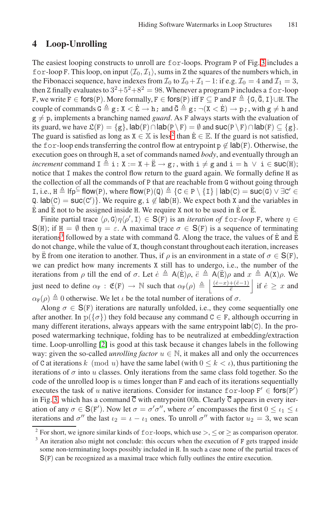## <span id="page-7-0"></span>**4 Loop-Unrolling**

The easiest looping con[str](#page-7-1)ucts to unroll are for-loops. Program P of Fig. 3 includes a for-loop F. This loop, on input  $\langle\mathcal{I}_0, \mathcal{I}_1\rangle$ , sums in Z the squares of the numbers which, in the Fibonacci sequence, have indexes from  $\mathcal{I}_0$  to  $\mathcal{I}_0 + \mathcal{I}_1 - 1$ : if e.g.  $\mathcal{I}_0 = 4$  and  $\mathcal{I}_1 = 3$ , then Z finally evaluates to  $3^2+5^2+8^2=98$ . Whenever a program P includes a for-loop F, we write  $F \in \mathsf{fors}(P)$ . More formally,  $F \in \mathsf{fors}(P)$  iff  $F \subseteq P$  and  $F \triangleq \{ \mathsf{G}, \mathsf{\bar{G}}, \mathsf{I} \} \cup$ H. The couple of commands  $G \triangleq g: X < E \to h$  ; and  $\bar{G} \triangleq g: \neg(X < E) \to p$  ; , with  $g \neq h$  and  $g \neq p$ , implements a branching named *guard*. As F always starts with the evaluation of its guard, we have  $\mathfrak{L}(F) = \{g\}$ ,  $\text{lab}(F) \cap \text{lab}(P \setminus F) = \emptyset$  and  $\text{succ}(P \setminus F) \cap \text{lab}(F) \subseteq \{g\}$ . The guard is satisfied as long as  $X \in \mathbb{X}$  is less<sup>2</sup> than  $E \in \mathbb{E}$ . If the guard is not satisfied, the for-loop ends transferring the control flow at entrypoint  $p \notin lab(F)$ . Otherwise, the execution goes on through H, a set of commands named *body*, and eventually through an  $\textit{increment command I  $\triangleq$  i: X := X +  $\ddot{E} \rightarrow g$ ; with i  $\neq g$  and i = h  $\lor$  i  $\in$  suc(H);$ notice that I makes the control flow return to the guard again. We formally define H as the collection of all the commands of P that are reachable from G without going through I, i.e.,  $H \triangleq$  Ifp⊆ flow(P), where flow(P)(Q)  $\triangleq \{C \in P \setminus \{I\} \mid \text{lab}(C) = \text{succ}(G) \vee \exists C' \in$ Q.  $\text{lab}(C) = \text{succ}(C')\}$ . We require g, i  $\notin \text{lab}(H)$ . We expect both X and the variables in  $\dot{E}$  and  $\ddot{E}$  not to be assigned inside H. We require X not to be used in  $\dot{E}$  or  $\ddot{E}$ .

Finite partial trace  $\langle \rho, G \rangle \eta \langle \rho', I \rangle \in S(F)$  is an *iteration of* for-loop F, where  $\eta \in$  $S(H)$ ; if  $H = \emptyset$  then  $\eta = \varepsilon$ . A maximal trace  $\sigma \in S(F)$  is a sequence of terminating iterations<sup>3</sup> followed by a state with command  $\bar{G}$ . Along the trace, the values of  $\bar{E}$  and  $\bar{E}$ do not change, while the value of X, though constant throughout each iteration, increases by E from one iteration to another. Thus, if  $\rho$  is an environment in a state of  $\sigma \in S(F)$ , we can predict how many increments X still has to undergo, i.e., the number of the it[era](#page-14-13)tions from  $\rho$  till the end of  $\sigma$ . Let  $\dot{e} \triangleq A(\dot{E})\rho$ ,  $\ddot{e} \triangleq A(\ddot{E})\rho$  and  $x \triangleq A(X)\rho$ . We just need to define  $\alpha_F$ :  $\mathfrak{E}(F) \to \mathbb{N}$  such that  $\alpha_F(\rho) \triangleq \left| \frac{(\hat{e}-x) + (\hat{e}-1)}{\hat{e}} \right|$  if  $\hat{e} \geq x$  and  $\alpha_{\mathbf{F}}(\rho) \triangleq 0$  otherwise. We let  $\iota$  be the total number of iterations of  $\sigma$ .

<span id="page-7-1"></span>Along  $\sigma \in S(F)$  iterations are naturally unfolded, i.e., they come sequentially one after another. In  $p({\{\sigma\}})$  they fold because any command  $C \in F$ , although occurring in many different iterations, always appears with the same entrypoint  $\text{lab}(C)$ . In the proposed watermarking technique, folding has to be neutralized at embedding/extraction time. Loop-unrolling [2] is good at this task because it changes labels in the following way: given the so-called *unrolling factor*  $u \in \mathbb{N}$ , it makes all and only the occurrences of C at iterations k (mod u) have the same label (with  $0 \le k \le \iota$ ), thus partitioning the iterations of  $\sigma$  into u classes. Only iterations from the same class fold together. So the code of the unrolled loop is  $u$  times longer than F and each of its iterations sequentially executes the task of u native iterations. Consider for instance  $\forall$  for  $F' \in \mathsf{fors}(P')$ in Fig. 3, which has a command  $\overline{C}$  with entrypoint 00h. Clearly  $\overline{C}$  appears in every iteration of any  $\sigma \in \mathsf{S}(\mathrm{F}')$ . Now let  $\sigma = \sigma' \sigma''$ , where  $\sigma'$  encompasses the first  $0 \leq \iota_1 \leq \iota$ iterations and  $\sigma''$  the last  $\iota_2 = \iota - \iota_1$  ones. To unroll  $\sigma''$  with factor  $u_2 = 3$ , we scan

<sup>&</sup>lt;sup>2</sup> For short, we ignore similar kinds of for-loops, which use  $>$ ,  $\leq$  or  $>$  as comparison operator.

<sup>&</sup>lt;sup>3</sup> An iteration also might not conclude: this occurs when the execution of F gets trapped inside some non-terminating loops possibly included in H. In such a case none of the partial traces of S(F) can be recognized as a maximal trace which fully outlines the entire execution.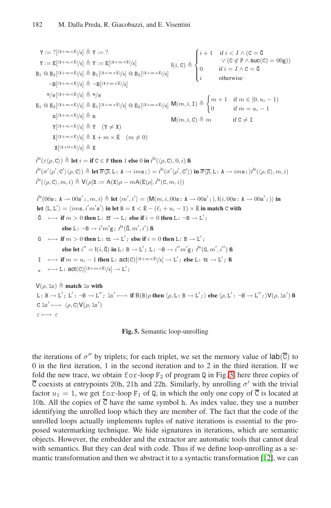```
\Upsilon := ?[(\Upsilon + m \times \ddot{\mathbf{E}})/\Upsilon] \triangleq \Upsilon := ?\text{Y} := \text{E}[(\text{X}+m\times\text{E})/\text{x}] \triangleq \text{Y} := \text{E}[(\text{X}+m\times\text{E})/\text{x}]B_1 \text{ @ } B_2 \big[ (X+m \times \ddot{E})/\chi \big] \triangleq B_1 \big[ (X+m \times \ddot{E})/\chi \big] \text{ @ } B_2 \big[ (X+m \times \ddot{E})/\chi \big]\neg B[(X+m\times E)/X] \triangleq \neg B[(X+m\times E)/X]\pi/\texttt{ff}[(\texttt{X}+m\times \ddot{\texttt{E}})/\texttt{X}] \triangleq \frac{\texttt{t}}{\texttt{ff}}/\texttt{ff}\mathbb{E}_1 \otimes \mathbb{E}_2\left[\frac{(x+m\times\mathbb{E})}{x}\right] \triangleq \mathbb{E}_1\left[\frac{(x+m\times\mathbb{E})}{x}\right] \otimes \mathbb{E}_2\left[\frac{(x+m\times\mathbb{E})}{x}\right] M(m,i,\mathbf{I}) \triangleq \begin{cases} m+1 & \text{if } m \in [0,u_i-1) \\ 0 & \text{if } m = u_i-1 \end{cases}{\tt n}[(\texttt{X}+m\times \ddot{\texttt{E}})/\texttt{X}] \triangleq {\tt n}Y[(X+m\times E)/X] \triangleq Y (Y \neq X)X[(X+m\times E)/X] \triangleq X + m \times E \quad (m \neq 0)X[(x+0\times E)/X] \triangleq XI(i, C) \triangleq\int\overline{\mathcal{L}}i+1 if i < I \wedge (C = \overline{G})\vee (C \notin F \wedge suc(C) = 00g))
                                                                                                                                                                                     0 if i = I \wedge C = \overline{G}i otherwise
                                                                                                                                                                                                 0 if m = u_i - 1M(m, i, C) \triangleq m if C \neq Id^{\text{lu}}(\varepsilon\langle\rho, \texttt{C}\rangle) \triangleq \textbf{let } i = \textbf{if } \texttt{C} \in \texttt{F} \textbf{ then } 1 \textbf{ else } 0 \textbf{ in } t^{\text{lu}}(\langle\rho, \texttt{C}\rangle, 0, i) \textbf{ fi}f^{\text{lu}}(\sigma'\langle\rho',\texttt{C}'\rangle\langle\rho,\texttt{C}\rangle) \triangleq \textbf{let}\,\overline{\sigma}\langle\overline{\rho},\texttt{L}\colon\mathtt{A}\toims ; \rangle = f^{\text{lu}}(\sigma'\langle\rho',\texttt{C}'\rangle) \textbf{ in } \overline{\sigma}\langle\overline{\rho},\texttt{L}\colon\mathtt{A}\toims ; \rangle f^{\text{lu}}(\langle\rho,\texttt{C}\rangle,m,i)d^{\text{lu}}(\langle \rho, C \rangle, m, i) \triangleq \mathsf{V}(\rho[\mathtt{X} := \mathsf{A}(\mathtt{X})\rho - m\mathsf{A}(\mathtt{E})\rho], t^{\text{lu}}(\mathtt{C}, m, i))d^{\text{lu}}(00\texttt{s}: \texttt{A} \rightarrow 00\texttt{s}';, m, i) \triangleq \textbf{let} \, \langle m', i' \rangle = \langle \textsf{M}(m, i, 00\texttt{s}: \texttt{A} \rightarrow 00\texttt{s}';), \textsf{I}(i, 00\texttt{s}: \texttt{A} \rightarrow 00\texttt{s}';) \rangle in
 let \langle L, L' \rangle = \langle ims, i'm's' \rangle in let B = X < \dot{E} - (\ell_i + u_i - 1) \times \ddot{E} in match C with
  \bar{\mathbf{G}} \longmapsto \mathbf{if} \ m > 0 \ \mathbf{then} \ \mathbf{L} \colon \mathbf{ff} \to \mathbf{L} \ ; \ \mathbf{else} \ \mathbf{if} \ i = 0 \ \mathbf{then} \ \mathbf{L} \colon \neg \mathbf{B} \to \mathbf{L}' \ ;\mathsf{else} \ \mathsf{L} \colon \neg \mathsf{B} \to i'm' \mathsf{g} \colon \mathit{t}^{\text{lu}}(\mathsf{\bar{G}},m',i') \ \mathsf{fi}G \longrightarrow if m > 0 then L: tt \rightarrow L'; else if i = 0 then L: B \rightarrow L';
                             {\bf e}ls{\bf e} let i'' = l(i, \bar{\tt G}) in L: B \rightarrow L'; L: ¬B \rightarrow i''m'g; t^{\rm lu}({\tt G},m',i'') fi
  \textbf{I} \quad \longmapsto \textbf{if} \ m = u_i-1 \ \textbf{then} \ \textbf{L} \colon \textbf{act}(\textbf{C})[{}^{(\texttt{X}+m\times \texttt{E})}\text{/x}] \to \textbf{L}' \ ; \ \textbf{else} \ \textbf{L} \colon \textbf{t} \to \textbf{L}' \ ; \ \textbf{fi}\longmapsto L: \text{act}(\text{C})^{[(\text{x}+m\times\ddot{\text{E}})/\text{x}]} \rightarrow L';
V(\rho, \text{ls}) \triangleq \text{match} ls with
 \mathtt{L}:\mathtt{B}\to\mathtt{L}^{\prime}; \mathtt{L}^{\prime}:\neg \mathtt{B}\to \mathtt{L}^{\prime\prime}; \mathtt{l} \mathtt{s}^{\prime}\longmapsto if \mathtt{B}(\mathtt{B})\rho then \langle\rho,\mathtt{L}:\mathtt{B}\to \mathtt{L}^{\prime\prime}\rangle else \langle\rho,\mathtt{L}^{\prime}:\neg \mathtt{B}\to \mathtt{L}^{\prime\prime}\:;\mathcal{V}(\rho,\mathtt{ls}^{\prime}) fi
```
 $\varepsilon \mapsto \varepsilon$ 

<span id="page-8-0"></span> $C \text{ ls}' \longmapsto \langle \rho, C \rangle \mathsf{V}(\rho, \text{ ls}')$ 

**Fig. 5.** Semantic loop-unrolling

the iterations of  $\sigma''$  by triplets; for each triplet, we set the memory value of  $\text{lab}(\overline{C})$  to 0 in the first iteration, 1 in the second iteration and to 2 in the third iteration. If we fold the new trace, we obtain  $f \circ r$ -loop  $F_2$  of program Q in Fig. 3: here three copies of  $\overline{c}$  coexists at entrypoints 20h, 21h and 22h. Similarly[, by](#page-14-8) unrolling  $\sigma'$  with the trivial factor  $u_1 = 1$ , we get for-loop  $F_1$  of Q, in which the only one copy of  $\overline{C}$  is located at 10h. All the copies of  $\overline{C}$  have the same symbol h. As index value, they use a number identifying the unrolled loop which they are member of. The fact that the code of the unrolled loops actually implements tuples of native iterations is essential to the proposed watermarking technique. We hide signatures in iterations, which are semantic objects. However, the embedder and the extractor are automatic tools that cannot deal with semantics. But they can deal with code. Thus if we define loop-unrolling as a semantic transformation and then we abstract it to a syntactic transformation [12], we can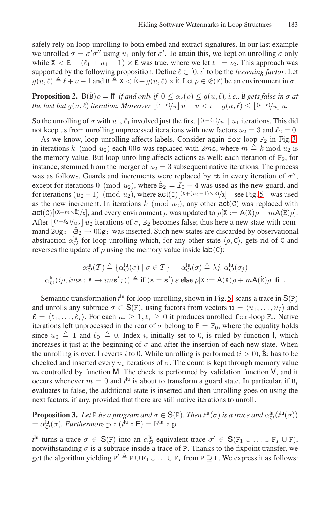safely rely on loop-unrolling to both embed and extract signatures. In our last example we unrolled  $\sigma = \sigma' \sigma''$  using  $u_1$  only for  $\sigma'$ . To attain this, we kept on unrolling  $\sigma$  only while  $X < \dot{E} - (\ell_1 + u_1 - 1) \times \ddot{E}$  was true, where we let  $\ell_1 = \iota_2$ . This approach was supported by t[he](#page-5-0) following proposition. Define  $\ell \in [0, \iota]$  to be the *lessening factor*. Let  $g(u, \ell) \triangleq \ell + u - 1$  and  $\hat{\mathtt{B}} \triangleq \mathtt{X} < \dot{\mathtt{E}} - g(u, \ell) \times \ddot{\mathtt{E}}$ . Let  $\rho \in \mathfrak{E}(\mathtt{F})$  be an environment in  $\sigma$ .

**Proposition 2.** B( $\hat{B}$ ) $\rho =$  ff *if and only if*  $0 \leq \alpha_F(\rho) \leq g(u,\ell)$ *, i.e.,*  $\hat{B}$  *gets false in*  $\sigma$  *at the last but*  $g(u, \ell)$  *iteration. Moreover*  $\lfloor (i-\ell)/u \rfloor u - u < \iota - g(u, \ell) \leq \lfloor (i-\ell)/u \rfloor u$ .

So the unrolling of  $\sigma$  with  $u_1, \ell_1$  involved just the first  $\lfloor (i-\ell_1)/u_1 \rfloor u_1$  iterations. This did not keep us from unrolling unprocessed iterations with new factors  $u_2 = 3$  and  $\ell_2 = 0$ .

As we know, loop-unrolling affects labels. Consider again  $for$ -loop  $F_2$  in Fig. 3: in iterations k (mod  $u_2$ ) each 00s was replaced with  $2m$ s, where  $m \triangleq k \mod u_2$  is the memory value. But loop-unrolling affects actions as well: each iteration of  $F_2$ , for instance, stemmed from the merger of  $u_2 = 3$  subsequent native iterations. The process was as follows. Guards and increments were replaced by  $t$ t in every iteration of  $\sigma''$ , except for iterations 0 (mod  $u_2$ ), where  $\hat{B}_2 = \mathcal{I}_0 - 4$  was used as the new guard, and for iterations  $(u_2 - 1) \pmod{u_2}$ , where  $\text{act}(I)[(X+(u_2-1)\times E)/X]$  – see Fig. 5 – was used as the new increment. In iterations  $k \pmod{u_2}$ , any other  $act(C)$  was replaced with  $\text{act}(C)[(X+m\times\ddot{E})/X]$ , and every environment  $\rho$  was updated to  $\rho[X := A(X)\rho - mA(\ddot{E})\rho]$ . After  $\lfloor (t-\ell_2)/u_2 \rfloor u_2$  iterations of  $\sigma$ ,  $\hat{B}_2$  becomes false; thus here a new state with command  $20g: \neg \hat{B}_2 \rightarrow 00g$ ; was inserted. Su[ch](#page-8-0) new states are discarded by observational abstraction  $\alpha_{\mathcal{O}}^{\text{lu}}$  for loop-unrolling which, for any other state  $\langle \rho, C \rangle$ , gets rid of C and reverses the update of  $\rho$  using the memory value inside  $lab(C)$ :

$$
\alpha_{\mathcal{O}}^{\text{lu}}(\mathcal{T}) \triangleq \{ \alpha_{\mathcal{O}}^{\text{lu}}(\sigma) \mid \sigma \in \mathcal{T} \} \qquad \alpha_{\mathcal{O}}^{\text{lu}}(\sigma) \triangleq \lambda j. \ \alpha_{\mathcal{O}}^{\text{lu}}(\sigma_j)
$$

$$
\alpha_{\mathcal{O}}^{\text{lu}}(\langle \rho, ins : \mathbf{A} \to ins' ; \rangle) \triangleq \mathbf{if} \ (\mathbf{s} = \mathbf{s}') \ \varepsilon \ \mathbf{else} \ \rho[\mathbf{X} := \mathbf{A}(\mathbf{X})\rho + m\mathbf{A}(\mathbf{E})\rho] \ \mathbf{fi} \ .
$$

Semantic transformation  $t^{\text{lu}}$  for loop-unrolling, shown in Fig. 5, scans a trace in  $S(P)$ and unrolls any subtrace  $\sigma \in S(F)$ , using factors from vectors  $\mathbf{u} = \langle u_1, \ldots, u_I \rangle$  and  $\ell = \langle \ell_1, \ldots, \ell_I \rangle$ . For each  $u_i \geq 1, \ell_i \geq 0$  it produces unrolled for-loop  $F_i$ . Native iterations left unprocessed in the rear of  $\sigma$  belong to  $F = F_0$ , where the equality holds since  $u_0 \triangleq 1$  and  $\ell_0 \triangleq 0$ . Index *i*, initially set to 0, is ruled by function I, which increases it just at the beginning of  $\sigma$  and after the insertion of each new state. When the unrolling is over, I reverts i to 0. While unrolling is performed ( $i > 0$ ),  $\hat{B}_i$  has to be checked and inserted every  $u_i$  iterations of  $\sigma$ . The count is kept through memory value  $m$  controlled by function M. The check is performed by validation function V, and it occurs whenever  $m = 0$  and  $t^{\text{lu}}$  is about to transform a guard state. In particular, if  $\hat{B}_i$ evaluates to false, the additional state is inserted and then unrolling goes on using the next factors, if any, provided that there are still native iterations to unroll.

**Proposition 3.** *Let* P *be a program and*  $\sigma \in S(P)$ *. Then*  $t^{\text{lu}}(\sigma)$  *is a trace and*  $\alpha_{\mathcal{O}}^{\text{lu}}(t^{\text{lu}}(\sigma))$  $= \alpha_{\mathcal{O}}^{\text{lu}}(\sigma)$ *. Furthermore*  $p \circ (t^{\text{lu}} \circ \mathsf{F}) = \mathbb{F}^{\text{lu}} \circ p$ *.* 

 $t^{\text{lu}}$  turns a trace  $\sigma \in S(F)$  into an  $\alpha_{\mathcal{O}}^{\text{lu}}$ -equivalent trace  $\sigma' \in S(F_1 \cup ... \cup F_I \cup F)$ , notwithstanding  $\sigma$  is a subtrace inside a trace of P. Thanks to the fixpoint transfer, we get the algorithm yielding  $P' \triangleq P \cup F_1 \cup ... \cup F_I$  from  $P \supseteq F$ . We express it as follows: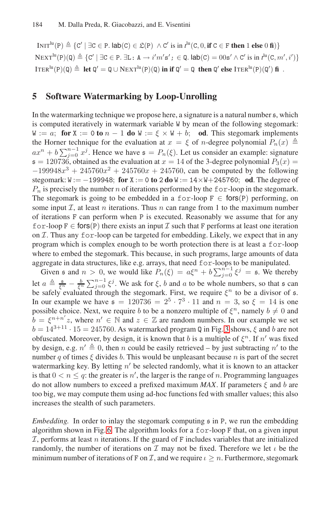<span id="page-10-0"></span> $INT^{lu}(P) \triangleq \{C' \mid \exists C \in P \ldotp \mathsf{lab}(C) \in \mathfrak{L}(P) \land C' \text{ is in } t^{lu}(C, 0, \text{if } C \in F \text{ then } 1 \text{ else } 0 \text{ fi})\}$  $N$ EXT<sup>lu</sup> $(P)(Q) \triangleq \{C' \mid \exists C \in P$ .  $\exists L : A \rightarrow i'm's': \in Q$ .  $\textsf{lab}(C) = 00s' \wedge C' \text{ is in } t^{\text{lu}}(C, m', i')\}$  $\text{ITER}^{\text{lu}}(\text{P})(\text{Q})\triangleq \text{ let } \text{Q}'=\text{Q}\cup\text{Next}^{\text{lu}}(\text{P})(\text{Q})\text{ in if }\text{Q}'=\text{Q}\text{ then }\text{Q}'\text{ else }\text{ITER}^{\text{lu}}(\text{P})(\text{Q}')\text{ fi}\enspace .$ 

## **5 Software Watermarking by Loop-Unrolling**

In the watermarking technique we propose here, a signature is a natural number  $\mathfrak{s}$ , which is computed iteratively in watermark variable W by mean of the following stegomark:  $W := a$ ; **for**  $X := 0$  **to**  $n - 1$  **do**  $W := \xi \times W + b$ ; **od**. This stegomark implements the Horner technique for the evaluation at  $x = \xi$  of *n*-degree polynomial  $P_n(x) \triangleq$  $ax^{n} + b \sum_{j=0}^{n-1} x^{j}$ . Hence we have  $\mathfrak{s} = P_{n}(\xi)$ . Let us consider an example: signature  $s = 120736$ , obtained as the evaluation at  $x = 14$  of the 3-degree polynomial  $P_3(x) =$  $-199948x^3 + 245760x^2 + 245760x + 245760$ , can be computed by the following stegomark: W := −199948; **for** X := 0 **to** 2 **do** W := 14×W+245760; **od**. The degree of  $P_n$  is precisely the number n of iterations performed by the for-loop in the stegomark. The stegomark is going to be embedded in a for-loop  $F \in \text{fors}(P)$  performing, on some input  $\mathcal I$ , at least n iterations. Thus n can range from 1 to the maximum number of iterations F can perform when P is executed. Reasonably we assume that for any for-loop  $F \in$  fors(P) there exists an input  $\mathcal I$  such that F performs at least one iteration on  $I$ . Thus any for-loop can be targeted for embedding. Likely, we expect that in any program which is complex enough to be worth protection there is at least a for-loop where to embed the stegomark. This bec[aus](#page-5-0)e, in such programs, large amounts of data aggregate in data structures, like e.g. arrays, that need for-loops to be manipulated.

Given s and  $n > 0$ , we would like  $P_n(\xi) = a\xi^n + b \sum_{j=0}^{n-1} \xi^j = \xi$ . We thereby let  $a \triangleq \frac{s}{\xi^n} - \frac{b}{\xi^n} \sum_{j=0}^{n-1} \xi^j$ . We ask for  $\xi$ , b and a to be whole numbers, so that s can be safely evaluated through the stegomark. First, we require  $\xi^n$  to be a divisor of s. In our example we have  $\mathfrak{s} = 120736 = 2^5 \cdot 7^3 \cdot 11$  and  $n = 3$ , so  $\xi = 14$  is one possible choice. Next, we require b to be a nonzero multiple of  $\xi^n$ , namely  $b \neq 0$  and  $\hat{b} = \xi^{n+n'}z$ , where  $n' \in \mathbb{N}$  and  $z \in \mathbb{Z}$  are random numbers. In our example we set  $b = 14^{3+11} \cdot 15 = 245760$ . As watermarked program Q in Fig. 3 shows,  $\xi$  and b are not obfuscated. Moreover, by design, it is known that b is a multiple of  $\xi^n$ . If n' was fixed by design, e.g.  $n' \triangleq 0$ , then n could be easily retrieved – by just subtracting  $n'$  to the nu[mb](#page-11-0)er q of times  $\xi$  divides b. This would be unpleasant because n is part of the secret watermarking key. By letting  $n'$  be selected randomly, what it is known to an attacker is that  $0 < n \leq q$ : the greater is n', the larger is the range of n. Programming languages do not allow numbers to exceed a prefixed maximum *MAX*. If parameters  $\xi$  and b are too big, we may compute them using ad-hoc functions fed with smaller values; this also increases the stealth of such parameters.

*Embedding*. In order to inlay the stegomark computing  $\epsilon$  in P, we run the embedding algorithm shown in Fig. 6. The algorithm looks for a for-loop F that, on a given input I, performs at least n iterations. If the guard of F includes variables that are initialized randomly, the number of iterations on  $\mathcal I$  may not be fixed. Therefore we let  $\iota$  be the minimum number of iterations of F on I, and we require  $\ell \geq n$ . Furthermore, stegomark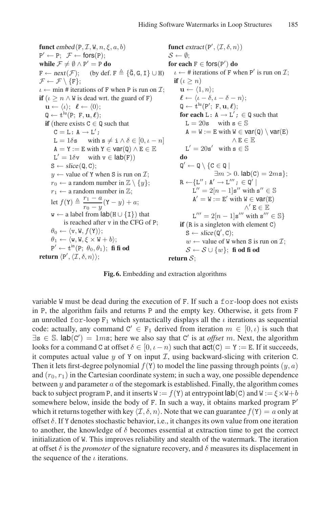**funct** embed  $(P, \mathcal{I}, \mathsf{W}, n, \xi, a, b)$  $\mathtt{P}'\leftarrow \mathtt{P};\;\;\mathcal{F}\leftarrow \mathsf{fors}(\mathtt{P});$ **while**  $\mathcal{F} \neq \emptyset \wedge P' = P$  **do**  $\mathbf{F} \leftarrow \text{next}(\mathcal{F}); \quad \text{(by def. } \mathbf{F} \triangleq \{\mathbf{\bar{G}}, \mathbf{G}, \mathbf{I}\} \cup \mathbf{H})$  $\mathcal{F} \leftarrow \mathcal{F} \setminus \{F\};$  $\iota \leftarrow \min \#$  iterations of F when P is run on  $\mathcal{I}$ ; **if**  $(\iota \geq n \land W)$  is dead wrt. the guard of F)  $\mathbf{u} \leftarrow \langle \iota \rangle; \ \ \pmb{\ell} \leftarrow \langle 0 \rangle;$  $\mathsf{Q} \leftarrow \mathbb{t}^{\text{lu}}(\mathrm{P}; \; \mathrm{F}, \mathbf{u}, \boldsymbol{\ell});$ **if** (there exists  $C \in \mathbb{Q}$  such that  $C = L : A \rightarrow L';$  $L = 1\delta s$  with  $s \neq i \land \delta \in [0, \iota - n]$  $A = Y := E$  with  $Y \in \text{var}(\mathbb{Q}) \wedge E \in \mathbb{E}$  $L' = 1\delta v$  with  $v \in \text{lab}(F)$ )  $S \leftarrow slice(Q, C);$  $y \leftarrow$  value of Y when S is run on  $\mathcal{I}$ ;  $r_0 \leftarrow$  a random number in  $\mathbb{Z} \setminus \{y\};$  $r_1 \leftarrow$  a random number in  $\mathbb{Z}$ ; let  $f(Y) \triangleq \frac{r_1 - a}{r_2 - a}$  $\frac{r_1}{r_0-y}(Y-y)+a;$  $w \leftarrow$  a label from  $lab(H \cup \{I\})$  that is reached after v in the CFG of P;  $\theta_0 \leftarrow \langle \mathsf{v}, \mathsf{W}, f(\mathsf{Y}) \rangle;$  $\theta_1 \leftarrow \langle \mathsf{w}, \mathsf{W}, \xi \times \mathsf{W} + b \rangle;$  $\texttt{P}^\prime \leftarrow \texttt{t}^{\text{in}}(\texttt{P}; \ \theta_0, \theta_1); \ \textbf{fi} \ \textbf{fi}$  od **return**  $\langle \mathsf{P}', \langle \mathcal{I}, \delta, n \rangle \rangle;$ 

**funct** extract  $(P', \langle \mathcal{I}, \delta, n \rangle)$  $\mathcal{S} \leftarrow \emptyset;$  ${\bf f}$ **or each**  ${\bf F} \in {\sf fors}({\bf P}^\prime)$   ${\bf d} {\bf o}$  $\iota \leftarrow$  # iterations of F when P' is run on  $\mathcal{I}$ ; **if**  $(\iota > n)$  $\mathbf{u} \leftarrow \langle 1, n \rangle;$  $\ell \leftarrow \langle \iota - \delta, \iota - \delta - n \rangle;$  $\mathsf{Q} \leftarrow \mathbb{t}^{\text{lu}}(\mathsf{P}';\;\mathsf{F},\mathbf{u},\boldsymbol{\ell});$ **for each**  $L: A \rightarrow L'$  ;  $\in \mathbb{Q}$  such that  $L = 20s$  with  $s \in \mathbb{S}$  $A = W := E$  with  $W \in \text{var}(\mathbb{Q}) \setminus \text{var}(E)$  $\land$  E  $\in$  E  $L' = 20s'$  with  $s \in \mathbb{S}$ **do**  $\mathtt{Q}' \gets \mathtt{Q} \setminus \{\mathtt{C} \in \mathtt{Q} \mid$  $\exists m > 0$ .  $lab(C) = 2ms$ ;  $\mathtt{R}\leftarrow$  {L''  $:\mathtt{A}'\rightarrow\mathtt{L}''$ '  $;\in\mathtt{Q}'\mid$  $\mathsf{L}'' = 2[n-1]\mathsf{s}''$  with  $\mathsf{s}'' \in \mathbb{S}$  $A' = W := E'$  with  $W \in \text{var}(E)$  $\wedge'$  E  $\in$   $\mathbb E$  $\mathsf{L}''' = 2[n-1]\mathsf{s}'''$  with  $\mathsf{s}''' \in \mathbb{S}\}$ **if** (R is a singleton with element C)  $S \leftarrow slice(Q', C);$  $w \leftarrow$  value of W when S is run on  $\mathcal{I}$ ; S←S∪{w}; **fi od fi od return** S;

<span id="page-11-0"></span>**Fig. 6.** Embedding and extraction algorithms

variable W must be dead during the execution of F. If such a for-loop does not exists in P, the algorithm fails and returns P and the empty key. Otherwise, it gets from F an unrolled for-loop  $F_1$  which syntactically displays all the  $\iota$  iterations as sequential code: actually, any command  $C' \in F_1$  derived from iteration  $m \in [0, \iota)$  is such that  $\exists s \in \mathbb{S}$ .  $\text{lab}(C') = 1ms$ ; here we also say that C' is at *offset* m. Next, the algorithm looks for a command C at offset  $\delta \in [0, \iota - n)$  such that  $\text{act}(C) = Y := E$ . If it succeeds, it computes actual value y of Y on input  $\mathcal{I}$ , using backward-slicing with criterion C. Then it lets first-degree polynomial  $f(Y)$  to model the line passing through points  $(y, a)$ and  $(r_0, r_1)$  in the Cartesian coordinate system; in such a way, one possible dependence between  $y$  and parameter  $a$  of the stegomark is established. Finally, the algorithm comes back to subject program P, and it inserts  $W := f(Y)$  at entrypoint  $\text{lab}(C)$  and  $W := \xi \times W + b$ somewhere below, inside the body of F. In such a way, it obtains marked program P' which it returns together with key  $\langle \mathcal{I}, \delta, n \rangle$ . Note that we can guarantee  $f(\mathbf{Y}) = a$  only at offset  $\delta$ . If Y denotes stochastic behavior, i.e., it changes its own value from one iteration to another, the knowledge of  $\delta$  becomes essential at extraction time to get the correct initialization of W. This improves reliability and stealth of the watermark. The iteration at offset  $\delta$  is the *promoter* of the signature recovery, and  $\delta$  measures its displacement in the sequence of the  $\iota$  iterations.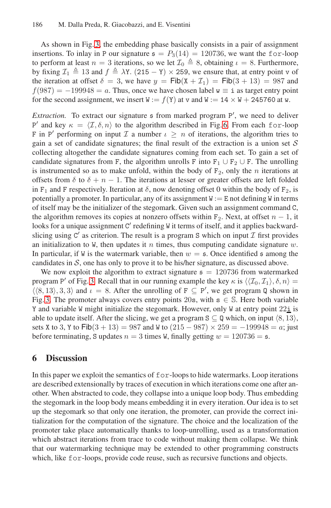As shown in Fig. 3, the embedding phase basically consists in a pair of assignment insertions. To inlay in P our signature  $\epsilon = P_3(14) = 120736$  $\epsilon = P_3(14) = 120736$  $\epsilon = P_3(14) = 120736$ , we want the for-loop to perform at least  $n = 3$  iterations, so we let  $\mathcal{I}_0 \triangleq 8$ , obtaining  $\iota = 8$ . Furthermore, by fixing  $\mathcal{I}_1 \triangleq 13$  and  $f \triangleq \lambda$ Y. (215 – Y) × 259, we ensure that, at entry point v of the iteration at offset  $\delta = 3$ , we have  $y = \text{Fib}(X + \mathcal{I}_1) = \text{Fib}(3 + 13) = 987$  and  $f(987) = -199948 = a$ . Thus, once we have chosen label w  $\equiv$  i as target entry point for the second assignment, we insert  $W := f(Y)$  at v and  $W := 14 \times W + 245760$  at w.

*Extraction*. To extract our signature s from marked program P', we need to deliver P' and key  $\kappa = \langle \mathcal{I}, \delta, n \rangle$  to the algorithm described in Fig. 6. From each for-loop F in P' performing on input  $\mathcal I$  a number  $\iota \geq n$  of iterations, the algorithm tries to gain a set of candidate signatures; the final result of the extraction is a union set  $S$ collecting altogether the candidate signatures coming from each set. To gain a set of candidate signatures from F, the algorithm unrolls F into  $F_1 \cup F_2 \cup F$ . The unrolling is instrumented so as to make unfold, within the body of  $F_2$ , only the *n* iterations at offsets from  $\delta$  to  $\delta + n - 1$ . The iterations at lesser or greater offsets are left folded in F<sub>1</sub> and F respectively. Iteration at  $\delta$ , now denoting offset 0 within the body of F<sub>2</sub>, is potentially a promoter. In particular, any of its assignment  $W := E$  not defining W in terms of itself may be the initializer of the stegomark. Given such an assignment command C, the algorithm removes its copies at nonzero offsets within  $F_2$ . Next, at offset  $n - 1$ , it looks for a unique assignment C' redefining W it terms of itself, and it applies backwardslicing using C' as criterion. The result is a program S which on input  $\mathcal I$  first provides an initialization to W, then updates it n times, thus computing candidate signature  $w$ . In particular, if W is the watermark variable, then  $w = \mathfrak{s}$ . Once identified  $\mathfrak{s}$  among the candidates in  $S$ , one has only to prove it to be his/her signature, as discussed above.

We now exploit the algorithm to extract signature  $s = 120736$  from watermarked program P' of Fig. 3. Recall that in our running example the key  $\kappa$  is  $\langle\langle\mathcal{I}_0,\mathcal{I}_1\rangle,\delta,n\rangle =$  $\langle (8, 13), 3, 3 \rangle$  and  $\iota = 8$ . After the unrolling of  $F \subseteq P'$ , we get program Q shown in Fig. 3. The promoter always covers entry points 20s, with  $s \in \mathbb{S}$ . Here both variable Y and variable W might initialize the stegomark. However, only W at entry point 22i is able to update itself. After the slicing, we get a program  $S \subseteq \mathbb{Q}$  which, on input  $\langle 8, 13 \rangle$ , sets X to 3, Y to Fib $(3 + 13) = 987$  and W to  $(215 - 987) \times 259 = -199948 = a$ ; just before terminating, S updates  $n = 3$  times W, finally getting  $w = 120736 = \mathfrak{s}$ .

## **6 Discussion**

In this paper we exploit the semantics of for-loops to hide watermarks. Loop iterations are described extensionally by traces of execution in which iterations come one after another. When abstracted to code, they collapse into a unique loop body. Thus embedding the stegomark in the loop body means embedding it in every iteration. Our idea is to set up the stegomark so that only one iteration, the promoter, can provide the correct initialization for the computation of the signature. The choice and the localization of the promoter take place automatically thanks to loop-unrolling, used as a transformation which abstract iterations from trace to code without making them collapse. We think that our watermarking technique may be extended to other programming constructs which, like for-loops, provide code reuse, such as recursive functions and objects.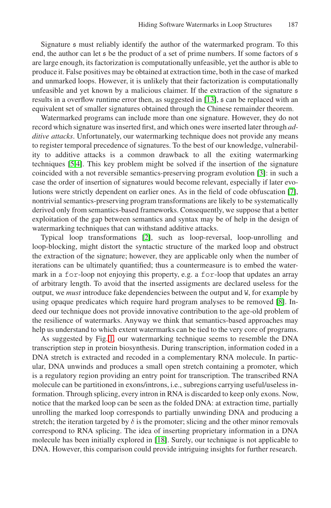Signature s must reliably identify the author of the watermarked program. To this end, the author can let  $\epsilon$  be the product of a set of prime numbers. If some factors of  $\epsilon$ are large enough, its factorization is computationally unfeasible, yet the author is able to produce it. False positives may be obtained at extraction time, both in the case of marked and unmarked loops. However, it is unlikely that their factorization is computationally unfeasible and yet known by a malicious claimer. If the extraction of the signature  $\epsilon$ results [in](#page-14-14) a overflow runtime error then, as suggested in [13],  $\epsilon$  can be replaced with an equivalent set of smaller signatures obtained through the Chinese remainder theorem.

Watermarked programs can include more than one signatur[e.](#page-14-15) However, they do not record which signature was inserted first, and which ones were inserted later through *additive attacks*. Unfortunately, our watermarking technique does not provide any means to register temporal precedence of signatures. To the best of our knowledge, vulnerability to additive attacks is a common drawback to all the exiting watermarking techniques [5,4[\].](#page-14-13) This key problem might be solved if the insertion of the signature coincided with a not reversible semantics-preserving program evolution [3]: in such a case the order of insertion of signatures would become relevant, especially if later evolutions were strictly dependent on earlier ones. As in the field of code obfuscation [7], nontrivial semantics-preserving program transformations are likely to be systematically derived only from semantics-based frameworks. Consequently, we suppose that a better exploitation of the gap between semantics and syntax may be of help in the design of watermarking techniques that can withstand additive attack[s.](#page-14-0)

Typical loop transformations [2], such as loop-reversal, loop-unrolling and loop-blocking, might distort the syntactic structure of the marked loop and obstruct the extraction of the signature; however, they are applicable only when the number of iter[atio](#page-1-0)ns can be ultimately quantified; thus a countermeasure is to embed the watermark in a for-loop not enjoying this property, e.g. a for-loop that updates an array of arbitrary length. To avoid that the inserted assigments are declared useless for the output, we *must* introduce fake dependencies between the output and W, for example by using opaque predicates which require hard program analyses to be removed [8]. Indeed our technique does not provide innovative contribution to the age-old problem of the resilience of watermarks. Anyway we think that semantics-based approaches may help us understand to which extent watermarks can be tied to the very core of programs.

As suggested by Fig. 1, our watermarking technique seems to resemble the DNA transcription step in protein biosynthesis. During transcription, information coded in a DNA stretch is extracted and recoded in a complementary RNA molecule. In particular, DNA unwind[s an](#page-14-16)d produces a small open stretch containing a promoter, which is a regulatory region providing an entry point for transcription. The transcribed RNA molecule can be partitioned in exons/introns, i.e., subregions carrying useful/useless information. Through splicing, every intron in RNA is discarded to keep only exons. Now, notice that the marked loop can be seen as the folded DNA: at extraction time, partially unrolling the marked loop corresponds to partially unwinding DNA and producing a stretch; the iteration targeted by  $\delta$  is the promoter; slicing and the other minor removals correspond to RNA splicing. The idea of inserting proprietary information in a DNA molecule has been initially explored in [18]. Surely, our technique is not applicable to DNA. However, this comparison could provide intriguing insights for further research.